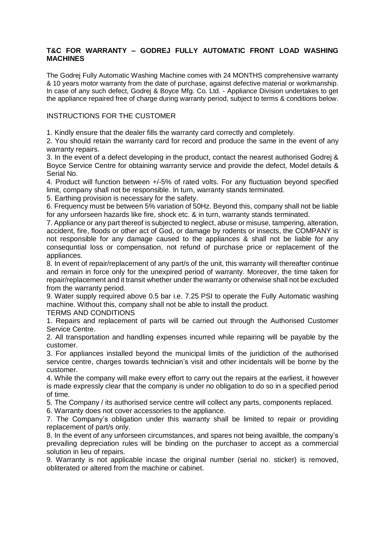## **T&C FOR WARRANTY – GODREJ FULLY AUTOMATIC FRONT LOAD WASHING MACHINES**

The Godrej Fully Automatic Washing Machine comes with 24 MONTHS comprehensive warranty & 10 years motor warranty from the date of purchase, against defective material or workmanship. In case of any such defect, Godrej & Boyce Mfg. Co. Ltd. - Appliance Division undertakes to get the appliance repaired free of charge during warranty period, subject to terms & conditions below.

## INSTRUCTIONS FOR THE CUSTOMER

1. Kindly ensure that the dealer fills the warranty card correctly and completely.

2. You should retain the warranty card for record and produce the same in the event of any warranty repairs.

3. In the event of a defect developing in the product, contact the nearest authorised Godrej & Boyce Service Centre for obtaining warranty service and provide the defect, Model details & Serial No.

4. Product will function between +/-5% of rated volts. For any fluctuation beyond specified limit, company shall not be responsible. In turn, warranty stands terminated.

5. Earthing provision is necessary for the safety.

6. Frequency must be between 5% variation of 50Hz. Beyond this, company shall not be liable for any unforseen hazards like fire, shock etc. & in turn, warranty stands terminated.

7. Appliance or any part thereof is subjected to neglect, abuse or misuse, tampering, alteration, accident, fire, floods or other act of God, or damage by rodents or insects, the COMPANY is not responsible for any damage caused to the appliances & shall not be liable for any consequntial loss or compensation, not refund of purchase price or replacement of the appliances.

8. In event of repair/replacement of any part/s of the unit, this warranty will thereafter continue and remain in force only for the unexpired period of warranty. Moreover, the time taken for repair/replacement and it transit whether under the warranty or otherwise shall not be excluded from the warranty period.

9. Water supply required above 0.5 bar i.e. 7.25 PSI to operate the Fully Automatic washing machine. Without this, company shall not be able to install the product.

TERMS AND CONDITIONS

1. Repairs and replacement of parts will be carried out through the Authorised Customer Service Centre.

2. All transportation and handling expenses incurred while repairing will be payable by the customer.

3. For appliances installed beyond the municipal limits of the juridiction of the authorised service centre, charges towards technician's visit and other incidentals will be borne by the customer.

4. While the company will make every effort to carry out the repairs at the earliest, it however is made expressly clear that the company is under no obligation to do so in a specified period of time.

5. The Company / its authorised service centre will collect any parts, components replaced.

6. Warranty does not cover accessories to the appliance.

7. The Company's obligation under this warranty shall be limited to repair or providing replacement of part/s only.

8. In the event of any unforseen circumstances, and spares not being availble, the company's prevailing depreciation rules will be binding on the purchaser to accept as a commercial solution in lieu of repairs.

9. Warranty is not applicable incase the original number (serial no. sticker) is removed, obliterated or altered from the machine or cabinet.